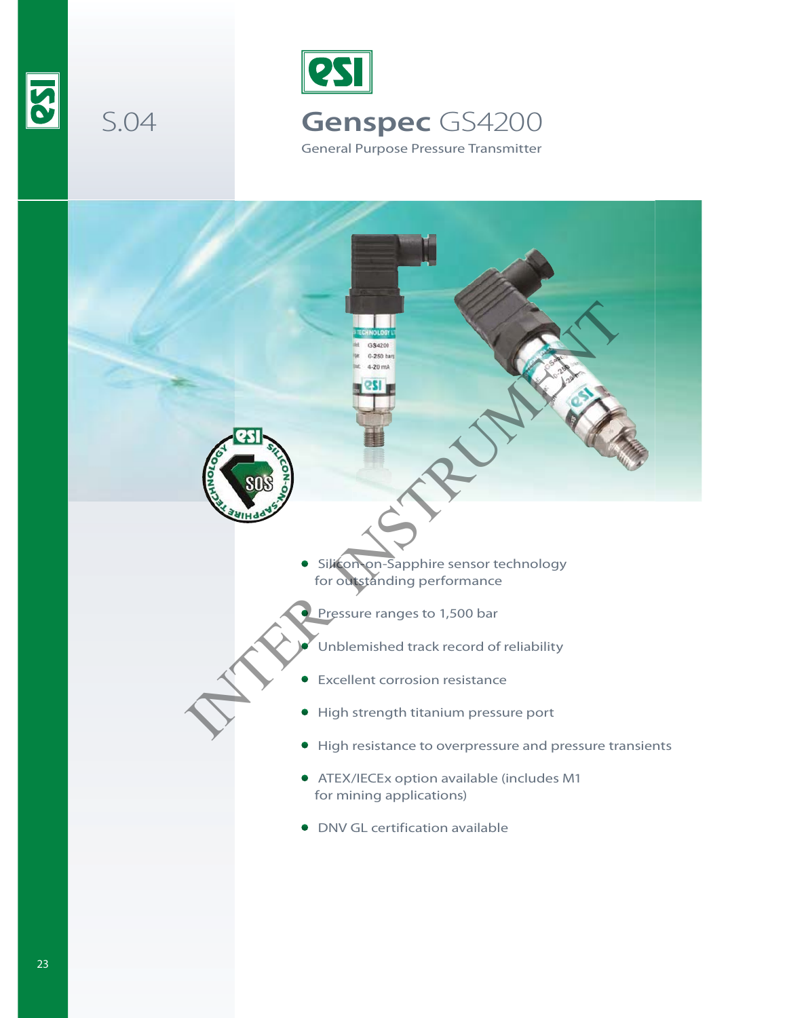

S.04



General Purpose Pressure Transmitter

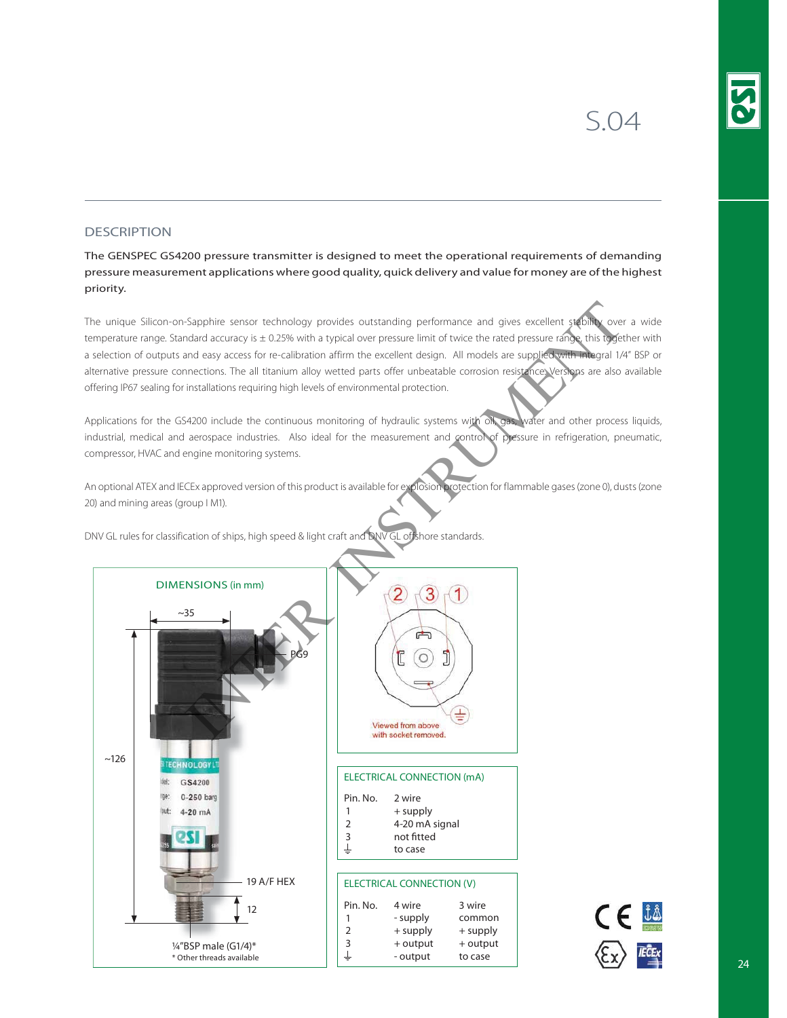## **DESCRIPTION**

The GENSPEC GS4200 pressure transmitter is designed to meet the operational requirements of demanding pressure measurement applications where good quality, quick delivery and value for money are of the highest priority.

The unique Silicon-on-Sapphire sensor technology provides outstanding performance and gives excellent stability over a wide temperature range. Standard accuracy is  $\pm$  0.25% with a typical over pressure limit of twice the rated pressure range, this together with a selection of outputs and easy access for re-calibration affirm the excellent design. All models are supplied with integral 1/4" BSP or alternative pressure connections. The all titanium alloy wetted parts offer unbeatable corrosion resistance. Versions are also available offering IP67 sealing for installations requiring high levels of environmental protection.

Applications for the GS4200 include the continuous monitoring of hydraulic systems with oil, gas, water and other process liquids, industrial, medical and aerospace industries. Also ideal for the measurement and control of pressure in refrigeration, pneumatic, compressor, HVAC and engine monitoring systems.

An optional ATEX and IECEx approved version of this product is available for explosion protection for flammable gases (zone 0), dusts (zone 20) and mining areas (group I M1).



DNV GL rules for classification of ships, high speed & light craft and DNV GL offshore standards.

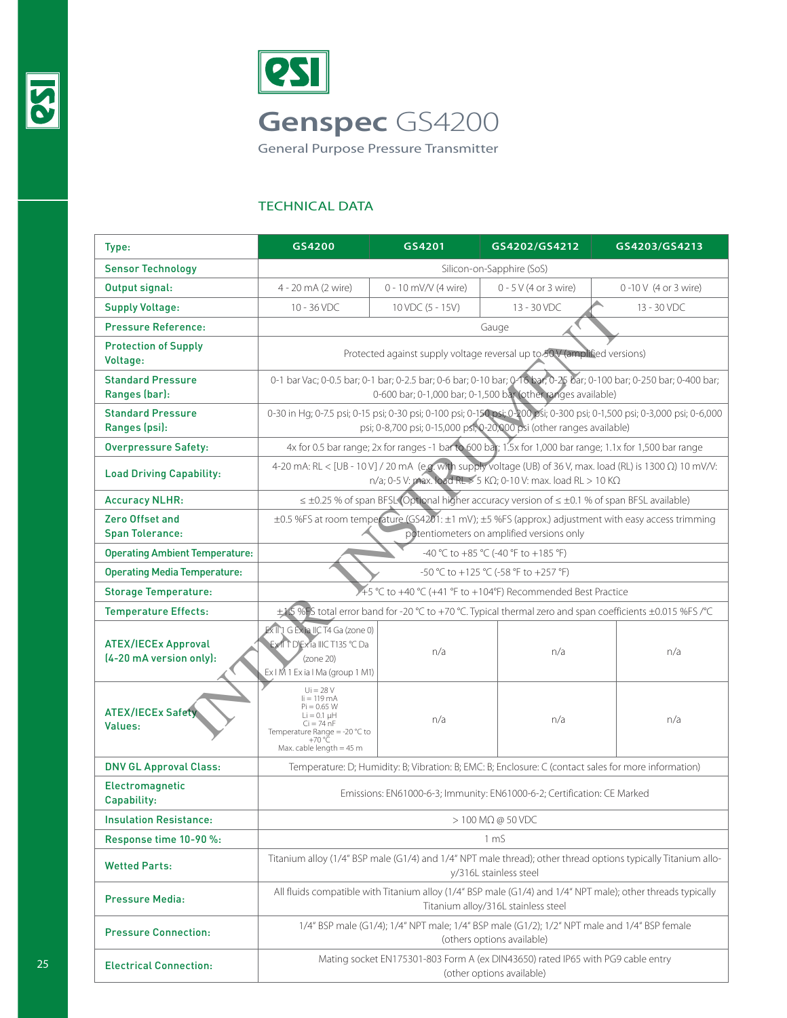



General Purpose Pressure Transmitter

## TECHNICAL DATA

| Type:                                                 | GS4200                                                                                                                                                                                             | GS4201               | GS4202/GS4212                                                                                        | GS4203/GS4213        |  |  |
|-------------------------------------------------------|----------------------------------------------------------------------------------------------------------------------------------------------------------------------------------------------------|----------------------|------------------------------------------------------------------------------------------------------|----------------------|--|--|
| <b>Sensor Technology</b>                              | Silicon-on-Sapphire (SoS)                                                                                                                                                                          |                      |                                                                                                      |                      |  |  |
| Output signal:                                        | 4 - 20 mA (2 wire)                                                                                                                                                                                 | 0 - 10 mV/V (4 wire) | $0 - 5$ V (4 or 3 wire)                                                                              | 0-10 V (4 or 3 wire) |  |  |
| <b>Supply Voltage:</b>                                | 10 - 36 VDC                                                                                                                                                                                        | 10 VDC (5 - 15V)     | 13 - 30 VDC                                                                                          | 13 - 30 VDC          |  |  |
| <b>Pressure Reference:</b>                            |                                                                                                                                                                                                    |                      | Gauge                                                                                                |                      |  |  |
| <b>Protection of Supply</b><br>Voltage:               | Protected against supply voltage reversal up to 50V (amplified versions)                                                                                                                           |                      |                                                                                                      |                      |  |  |
| <b>Standard Pressure</b><br>Ranges (bar):             | 0-1 bar Vac; 0-0.5 bar; 0-1 bar; 0-2.5 bar; 0-6 bar; 0-10 bar; 0-16 bar; 0-25 bar; 0-100 bar; 0-250 bar; 0-400 bar;<br>0-600 bar; 0-1,000 bar; 0-1,500 bar (other ranges available)                |                      |                                                                                                      |                      |  |  |
| <b>Standard Pressure</b><br>Ranges (psi):             | 0-30 in Hg; 0-7.5 psi; 0-15 psi; 0-30 psi; 0-100 psi; 0-150 psi; 0-200 psi; 0-300 psi; 0-1,500 psi; 0-3,000 psi; 0-6,000<br>psi; 0-8,700 psi; 0-15,000 psi; 0-20,000 psi (other ranges available)  |                      |                                                                                                      |                      |  |  |
| <b>Overpressure Safety:</b>                           | 4x for 0.5 bar range; 2x for ranges -1 bar to 600 bar; 1.5x for 1,000 bar range; 1.1x for 1,500 bar range                                                                                          |                      |                                                                                                      |                      |  |  |
| <b>Load Driving Capability:</b>                       | 4-20 mA: RL < [UB - 10 V] / 20 mA (e.g. with supply voltage (UB) of 36 V, max. load (RL) is 1300 Ω) 10 mV/V:<br>n/a; 0-5 V: max. load RL $>$ 5 K $\Omega$ ; 0-10 V: max. load RL $>$ 10 K $\Omega$ |                      |                                                                                                      |                      |  |  |
| <b>Accuracy NLHR:</b>                                 | $\leq \pm 0.25$ % of span BFSL (Optional higher accuracy version of $\leq \pm 0.1$ % of span BFSL available)                                                                                       |                      |                                                                                                      |                      |  |  |
| Zero Offset and<br><b>Span Tolerance:</b>             | ±0.5 %FS at room tempe ature (GS4201: ±1 mV); ±5 %FS (approx.) adjustment with easy access trimming<br>potentiometers on amplified versions only                                                   |                      |                                                                                                      |                      |  |  |
| <b>Operating Ambient Temperature:</b>                 | -40 °C to +85 °C (-40 °F to +185 °F)                                                                                                                                                               |                      |                                                                                                      |                      |  |  |
| <b>Operating Media Temperature:</b>                   | -50 °C to +125 °C (-58 °F to +257 °F)                                                                                                                                                              |                      |                                                                                                      |                      |  |  |
| <b>Storage Temperature:</b>                           | A 45 °C to +40 °C (+41 °F to +104°F) Recommended Best Practice                                                                                                                                     |                      |                                                                                                      |                      |  |  |
| <b>Temperature Effects:</b>                           | ±1.5 %FS total error band for -20 °C to +70 °C. Typical thermal zero and span coefficients ±0.015 %FS /°C                                                                                          |                      |                                                                                                      |                      |  |  |
| <b>ATEX/IECEx Approval</b><br>(4-20 mA version only): | Ex II <sup>1</sup> G Ex ia IIC T4 Ga (zone 0)<br>Exit T D'Exia IIIC T135 °C Da<br>(zone 20)<br>Ex I M 1 Ex ia I Ma (group 1 M1)                                                                    | n/a                  | n/a                                                                                                  | n/a                  |  |  |
| <b>ATEX/IECEx Safety</b><br>Values:                   | $Ui = 28 V$<br>$i = 119$ mA<br>Pi = 0.65 W<br>$Li = 0.1$ uH<br>$Ci = 74 nF$<br>Temperature Range = -20 $^{\circ}$ C to<br>+70 °Č<br>Max. cable length $=$ 45 m                                     | n/a                  | n/a                                                                                                  | n/a                  |  |  |
| <b>DNV GL Approval Class:</b>                         |                                                                                                                                                                                                    |                      | Temperature: D; Humidity: B; Vibration: B; EMC: B; Enclosure: C (contact sales for more information) |                      |  |  |
| Electromagnetic<br>Capability:                        | Emissions: EN61000-6-3; Immunity: EN61000-6-2; Certification: CE Marked                                                                                                                            |                      |                                                                                                      |                      |  |  |
| <b>Insulation Resistance:</b>                         | $> 100$ M $\Omega$ @ 50 VDC                                                                                                                                                                        |                      |                                                                                                      |                      |  |  |
| Response time 10-90 %:                                | 1 <sub>m</sub>                                                                                                                                                                                     |                      |                                                                                                      |                      |  |  |
| <b>Wetted Parts:</b>                                  | Titanium alloy (1/4" BSP male (G1/4) and 1/4" NPT male thread); other thread options typically Titanium allo-<br>y/316L stainless steel                                                            |                      |                                                                                                      |                      |  |  |
| <b>Pressure Media:</b>                                | All fluids compatible with Titanium alloy (1/4" BSP male (G1/4) and 1/4" NPT male); other threads typically<br>Titanium alloy/316L stainless steel                                                 |                      |                                                                                                      |                      |  |  |
| <b>Pressure Connection:</b>                           | 1/4" BSP male (G1/4); 1/4" NPT male; 1/4" BSP male (G1/2); 1/2" NPT male and 1/4" BSP female<br>(others options available)                                                                         |                      |                                                                                                      |                      |  |  |
| <b>Electrical Connection:</b>                         | Mating socket EN175301-803 Form A (ex DIN43650) rated IP65 with PG9 cable entry<br>(other options available)                                                                                       |                      |                                                                                                      |                      |  |  |